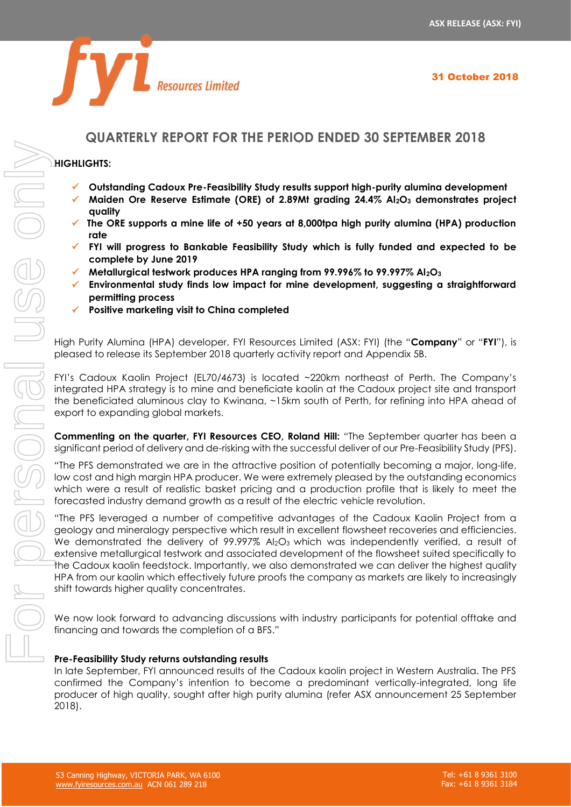

# **QUARTERLY REPORT FOR THE PERIOD ENDED 30 SEPTEMBER 2018**

# **HIGHLIGHTS:**

- ✓ **Outstanding Cadoux Pre-Feasibility Study results support high-purity alumina development**
- ✓ **Maiden Ore Reserve Estimate (ORE) of 2.89Mt grading 24.4% Al2O<sup>3</sup> demonstrates project quality**
- ✓ **The ORE supports a mine life of +50 years at 8,000tpa high purity alumina (HPA) production rate**
- ✓ **FYI will progress to Bankable Feasibility Study which is fully funded and expected to be complete by June 2019**
- ✓ **Metallurgical testwork produces HPA ranging from 99.996% to 99.997% Al2O<sup>3</sup>**
- ✓ **Environmental study finds low impact for mine development, suggesting a straightforward permitting process**
- ✓ **Positive marketing visit to China completed**

High Purity Alumina (HPA) developer, FYI Resources Limited (ASX: FYI) (the "**Company**" or "**FYI**"), is pleased to release its September 2018 quarterly activity report and Appendix 5B.

FYI's Cadoux Kaolin Project (EL70/4673) is located ~220km northeast of Perth. The Company's integrated HPA strategy is to mine and beneficiate kaolin at the Cadoux project site and transport the beneficiated aluminous clay to Kwinana, ~15km south of Perth, for refining into HPA ahead of export to expanding global markets.

**Commenting on the quarter, FYI Resources CEO, Roland Hill:** "The September quarter has been a significant period of delivery and de-risking with the successful deliver of our Pre-Feasibility Study (PFS).

"The PFS demonstrated we are in the attractive position of potentially becoming a major, long-life, low cost and high margin HPA producer. We were extremely pleased by the outstanding economics which were a result of realistic basket pricing and a production profile that is likely to meet the forecasted industry demand growth as a result of the electric vehicle revolution.

"The PFS leveraged a number of competitive advantages of the Cadoux Kaolin Project from a geology and mineralogy perspective which result in excellent flowsheet recoveries and efficiencies. We demonstrated the delivery of 99.997% Al<sub>2</sub>O<sub>3</sub> which was independently verified, a result of extensive metallurgical testwork and associated development of the flowsheet suited specifically to the Cadoux kaolin feedstock. Importantly, we also demonstrated we can deliver the highest quality HPA from our kaolin which effectively future proofs the company as markets are likely to increasingly shift towards higher quality concentrates.

We now look forward to advancing discussions with industry participants for potential offtake and financing and towards the completion of a BFS."

# **Pre-Feasibility Study returns outstanding results**

In late September, FYI announced results of the Cadoux kaolin project in Western Australia. The PFS confirmed the Company's intention to become a predominant vertically-integrated, long life producer of high quality, sought after high purity alumina (refer ASX announcement 25 September  $2018$ ).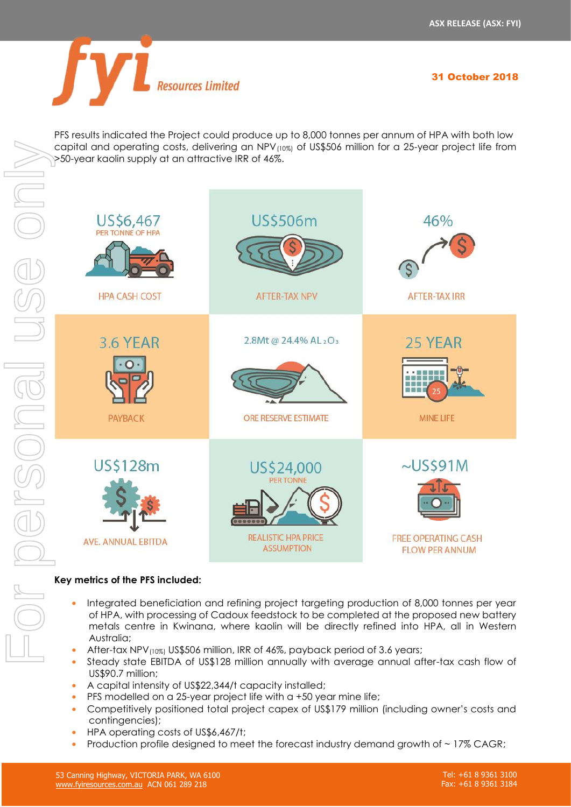31 October 2018



PFS results indicated the Project could produce up to 8,000 tonnes per annum of HPA with both low capital and operating costs, delivering an NPV(10%) of US\$506 million for a 25-year project life from >50-year kaolin supply at an attractive IRR of 46%.



# **Key metrics of the PFS included:**

- **•** Integrated beneficiation and refining project targeting production of 8,000 tonnes per year of HPA, with processing of Cadoux feedstock to be completed at the proposed new battery metals centre in Kwinana, where kaolin will be directly refined into HPA, all in Western Australia;
- **•** After-tax NPV(10%) US\$506 million, IRR of 46%, payback period of 3.6 years;
- **•** Steady state EBITDA of US\$128 million annually with average annual after-tax cash flow of US\$90.7 million;
- **•** A capital intensity of US\$22,344/t capacity installed;
- **•** PFS modelled on a 25-year project life with a +50 year mine life;
- **•** Competitively positioned total project capex of US\$179 million (including owner's costs and contingencies);
- **•** HPA operating costs of US\$6,467/t;
- Production profile designed to meet the forecast industry demand growth of ~17% CAGR;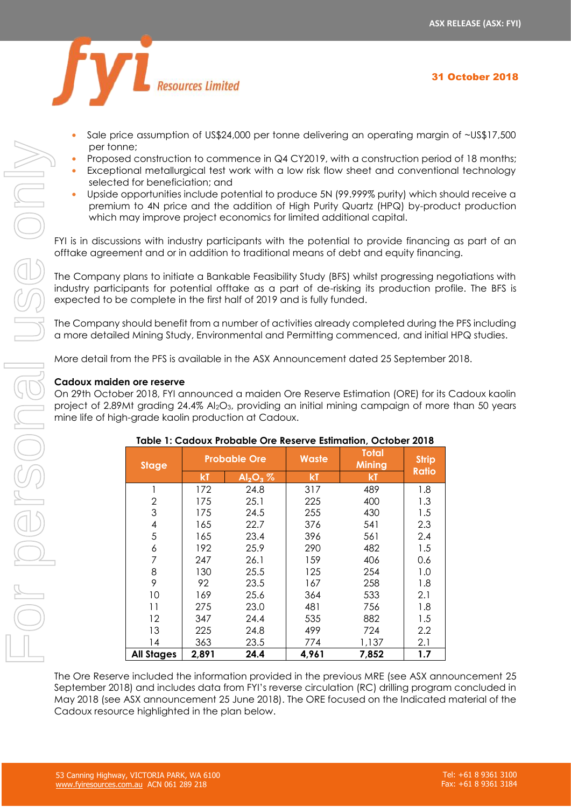31 October 2018



- **•** Sale price assumption of US\$24,000 per tonne delivering an operating margin of ~US\$17,500 per tonne;
- **•** Proposed construction to commence in Q4 CY2019, with a construction period of 18 months;
- **•** Exceptional metallurgical test work with a low risk flow sheet and conventional technology selected for beneficiation; and
- **•** Upside opportunities include potential to produce 5N (99.999% purity) which should receive a premium to 4N price and the addition of High Purity Quartz (HPQ) by-product production which may improve project economics for limited additional capital.

FYI is in discussions with industry participants with the potential to provide financing as part of an offtake agreement and or in addition to traditional means of debt and equity financing.

The Company plans to initiate a Bankable Feasibility Study (BFS) whilst progressing negotiations with industry participants for potential offtake as a part of de-risking its production profile. The BFS is expected to be complete in the first half of 2019 and is fully funded.

The Company should benefit from a number of activities already completed during the PFS including a more detailed Mining Study, Environmental and Permitting commenced, and initial HPQ studies.

More detail from the PFS is available in the ASX Announcement dated 25 September 2018.

# **Cadoux maiden ore reserve**

On 29th October 2018, FYI announced a maiden Ore Reserve Estimation (ORE) for its Cadoux kaolin project of 2.89Mt grading 24.4% Al<sub>2</sub>O<sub>3</sub>, providing an initial mining campaign of more than 50 years mine life of high-grade kaolin production at Cadoux.

| per tonne;                                                                                                                       |                                                                                |       |                     |       |                                                                     |              |  |
|----------------------------------------------------------------------------------------------------------------------------------|--------------------------------------------------------------------------------|-------|---------------------|-------|---------------------------------------------------------------------|--------------|--|
|                                                                                                                                  | Proposed construction to commence in Q4 CY2019, with a construction perio      |       |                     |       |                                                                     |              |  |
| Exceptional metallurgical test work with a low risk flow sheet and convention                                                    |                                                                                |       |                     |       |                                                                     |              |  |
|                                                                                                                                  | selected for beneficiation; and                                                |       |                     |       |                                                                     |              |  |
|                                                                                                                                  | Upside opportunities include potential to produce 5N (99.999% purity) which sh |       |                     |       |                                                                     |              |  |
| premium to 4N price and the addition of High Purity Quartz (HPQ) by-prod                                                         |                                                                                |       |                     |       |                                                                     |              |  |
|                                                                                                                                  |                                                                                |       |                     |       | which may improve project economics for limited additional capital. |              |  |
|                                                                                                                                  |                                                                                |       |                     |       |                                                                     |              |  |
| FYI is in discussions with industry participants with the potential to provide financing                                         |                                                                                |       |                     |       |                                                                     |              |  |
| offtake agreement and or in addition to traditional means of debt and equity financ                                              |                                                                                |       |                     |       |                                                                     |              |  |
|                                                                                                                                  |                                                                                |       |                     |       |                                                                     |              |  |
| The Company plans to initiate a Bankable Feasibility Study (BFS) whilst progressing ne                                           |                                                                                |       |                     |       |                                                                     |              |  |
| industry participants for potential offtake as a part of de-risking its production pro                                           |                                                                                |       |                     |       |                                                                     |              |  |
| expected to be complete in the first half of 2019 and is fully funded.                                                           |                                                                                |       |                     |       |                                                                     |              |  |
|                                                                                                                                  |                                                                                |       |                     |       |                                                                     |              |  |
| The Company should benefit from a number of activities already completed during th                                               |                                                                                |       |                     |       |                                                                     |              |  |
| a more detailed Mining Study, Environmental and Permitting commenced, and initia                                                 |                                                                                |       |                     |       |                                                                     |              |  |
|                                                                                                                                  |                                                                                |       |                     |       |                                                                     |              |  |
| More detail from the PFS is available in the ASX Announcement dated 25 September                                                 |                                                                                |       |                     |       |                                                                     |              |  |
| Cadoux maiden ore reserve                                                                                                        |                                                                                |       |                     |       |                                                                     |              |  |
| On 29th October 2018, FYI announced a maiden Ore Reserve Estimation (ORE) for its                                                |                                                                                |       |                     |       |                                                                     |              |  |
| project of 2.89Mt grading 24.4% $Al_2O_3$ , providing an initial mining campaign of more                                         |                                                                                |       |                     |       |                                                                     |              |  |
| mine life of high-grade kaolin production at Cadoux.                                                                             |                                                                                |       |                     |       |                                                                     |              |  |
|                                                                                                                                  |                                                                                |       |                     |       |                                                                     |              |  |
|                                                                                                                                  |                                                                                |       |                     |       |                                                                     |              |  |
|                                                                                                                                  |                                                                                |       |                     |       | Table 1: Cadoux Probable Ore Reserve Estimation, October 2018       |              |  |
|                                                                                                                                  |                                                                                |       |                     |       | <b>Total</b>                                                        |              |  |
|                                                                                                                                  | <b>Stage</b>                                                                   |       | <b>Probable Ore</b> | Waste | <b>Mining</b>                                                       | <b>Strip</b> |  |
|                                                                                                                                  |                                                                                | kT    | $Al_2O_3 %$         | kT    | kT                                                                  | <b>Ratio</b> |  |
|                                                                                                                                  | 1                                                                              | 172   | 24.8                | 317   | 489                                                                 | 1.8          |  |
|                                                                                                                                  | 2                                                                              | 175   | 25.1                | 225   | 400                                                                 | 1.3          |  |
|                                                                                                                                  | 3                                                                              | 175   | 24.5                | 255   | 430                                                                 | 1.5          |  |
|                                                                                                                                  | 4                                                                              | 165   | 22.7                | 376   | 541                                                                 | 2.3          |  |
|                                                                                                                                  | 5                                                                              | 165   | 23.4                | 396   | 561                                                                 | 2.4          |  |
|                                                                                                                                  | 6                                                                              | 192   | 25.9                | 290   | 482                                                                 | 1.5          |  |
|                                                                                                                                  | 7                                                                              | 247   | 26.1                | 159   | 406                                                                 | 0.6          |  |
|                                                                                                                                  | 8                                                                              | 130   | 25.5                | 125   | 254                                                                 | 1.0          |  |
|                                                                                                                                  | 9                                                                              | 92    | 23.5                | 167   | 258                                                                 | 1.8          |  |
|                                                                                                                                  | 10                                                                             | 169   | 25.6                | 364   | 533                                                                 | 2.1          |  |
|                                                                                                                                  | 11                                                                             | 275   | 23.0                | 481   | 756                                                                 | 1.8          |  |
|                                                                                                                                  | 12                                                                             | 347   | 24.4                | 535   | 882                                                                 | 1.5          |  |
|                                                                                                                                  | 13                                                                             | 225   | 24.8                | 499   | 724                                                                 | 2.2          |  |
|                                                                                                                                  | 14                                                                             | 363   | 23.5                | 774   | 1,137                                                               | 2.1          |  |
|                                                                                                                                  | <b>All Stages</b>                                                              | 2,891 | 24.4                | 4,961 | 7,852                                                               | 1.7          |  |
|                                                                                                                                  |                                                                                |       |                     |       |                                                                     |              |  |
| The Ore Reserve included the information provided in the previous MRE (see ASX anr                                               |                                                                                |       |                     |       |                                                                     |              |  |
| September 2018) and includes data from FYI's reverse circulation (RC) drilling prograr                                           |                                                                                |       |                     |       |                                                                     |              |  |
| May 2018 (see ASX announcement 25 June 2018). The ORE focused on the Indicated<br>Cadoux resource highlighted in the plan below. |                                                                                |       |                     |       |                                                                     |              |  |

### **Table 1: Cadoux Probable Ore Reserve Estimation, October 2018**

The Ore Reserve included the information provided in the previous MRE (see ASX announcement 25 September 2018) and includes data from FYI's reverse circulation (RC) drilling program concluded in May 2018 (see ASX announcement 25 June 2018). The ORE focused on the Indicated material of the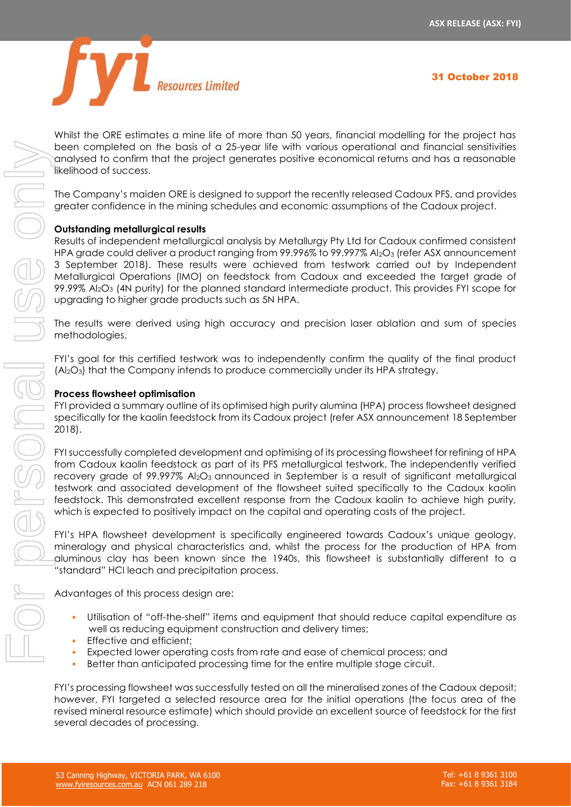

Whilst the ORE estimates a mine life of more than 50 years, financial modelling for the project has been completed on the basis of a 25-year life with various operational and financial sensitivities analysed to confirm that the project generates positive economical returns and has a reasonable likelihood of success.

The Company's maiden ORE is designed to support the recently released Cadoux PFS, and provides greater confidence in the mining schedules and economic assumptions of the Cadoux project.

# **Outstanding metallurgical results**

Results of independent metallurgical analysis by Metallurgy Pty Ltd for Cadoux confirmed consistent HPA grade could deliver a product ranging from 99.996% to 99.997% Al<sub>2</sub>O<sub>3</sub> (refer ASX announcement 3 September 2018). These results were achieved from testwork carried out by Independent Metallurgical Operations (IMO) on feedstock from Cadoux and exceeded the target grade of 99.99% Al<sub>2</sub>O<sub>3</sub> (4N purity) for the planned standard intermediate product. This provides FYI scope for upgrading to higher grade products such as 5N HPA.

The results were derived using high accuracy and precision laser ablation and sum of species methodologies.

FYI's goal for this certified testwork was to independently confirm the quality of the final product (Al2O3) that the Company intends to produce commercially under its HPA strategy.

### **Process flowsheet optimisation**

FYI provided a summary outline of its optimised high purity alumina (HPA) process flowsheet designed specifically for the kaolin feedstock from its Cadoux project (refer ASX announcement 18 September 2018).

FYI successfully completed development and optimising of its processing flowsheet for refining of HPA from Cadoux kaolin feedstock as part of its PFS metallurgical testwork. The independently verified recovery grade of 99.997% Al2O3 announced in September is a result of significant metallurgical testwork and associated development of the flowsheet suited specifically to the Cadoux kaolin feedstock. This demonstrated excellent response from the Cadoux kaolin to achieve high purity, which is expected to positively impact on the capital and operating costs of the project.

FYI's HPA flowsheet development is specifically engineered towards Cadoux's unique geology, mineralogy and physical characteristics and, whilst the process for the production of HPA from aluminous clay has been known since the 1940s, this flowsheet is substantially different to a "standard" HCl leach and precipitation process.

Advantages of this process design are:

- Utilisation of "off-the-shelf" items and equipment that should reduce capital expenditure as well as reducing equipment construction and delivery times;
- Effective and efficient:
- Expected lower operating costs from rate and ease of chemical process; and
- Better than anticipated processing time for the entire multiple stage circuit.

FYI's processing flowsheet was successfully tested on all the mineralised zones of the Cadoux deposit; however, FYI targeted a selected resource area for the initial operations (the focus area of the revised mineral resource estimate) which should provide an excellent source of feedstock for the first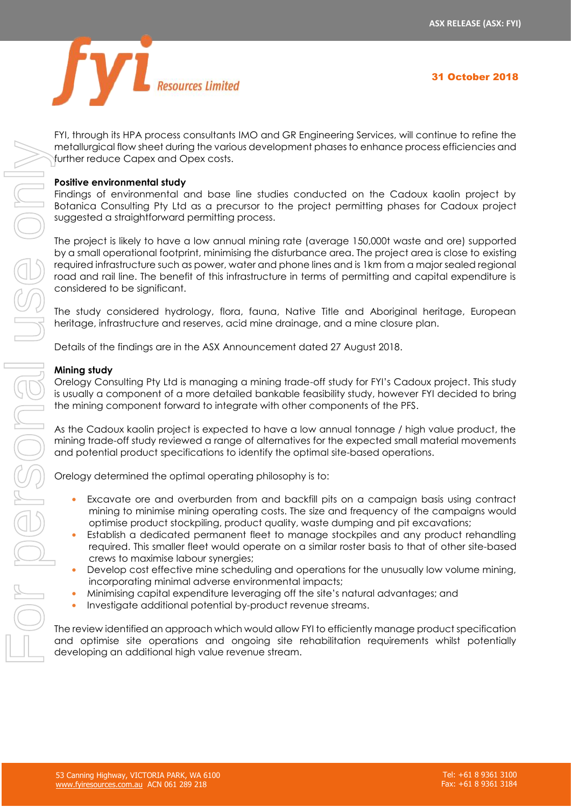

FYI, through its HPA process consultants IMO and GR Engineering Services, will continue to refine the metallurgical flow sheet during the various development phases to enhance process efficiencies and further reduce Capex and Opex costs.

### **Positive environmental study**

Findings of environmental and base line studies conducted on the Cadoux kaolin project by Botanica Consulting Pty Ltd as a precursor to the project permitting phases for Cadoux project suggested a straightforward permitting process.

The project is likely to have a low annual mining rate (average 150,000t waste and ore) supported by a small operational footprint, minimising the disturbance area. The project area is close to existing required infrastructure such as power, water and phone lines and is 1km from a major sealed regional road and rail line. The benefit of this infrastructure in terms of permitting and capital expenditure is considered to be significant. and the method one of the personal diversions are distinguished on the Cadeoux site reduces and one of the personal use of the personal one of the cadeoux site reduces on the personal use of the cadeous constitute of the c

The study considered hydrology, flora, fauna, Native Title and Aboriginal heritage, European heritage, infrastructure and reserves, acid mine drainage, and a mine closure plan.

Details of the findings are in the ASX Announcement dated 27 August 2018.

#### **Mining study**

Orelogy Consulting Pty Ltd is managing a mining trade-off study for FYI's Cadoux project. This study is usually a component of a more detailed bankable feasibility study, however FYI decided to bring the mining component forward to integrate with other components of the PFS.

As the Cadoux kaolin project is expected to have a low annual tonnage / high value product, the mining trade-off study reviewed a range of alternatives for the expected small material movements and potential product specifications to identify the optimal site-based operations.

Orelogy determined the optimal operating philosophy is to:

- **•** Excavate ore and overburden from and backfill pits on a campaign basis using contract mining to minimise mining operating costs. The size and frequency of the campaigns would optimise product stockpiling, product quality, waste dumping and pit excavations;
- **•** Establish a dedicated permanent fleet to manage stockpiles and any product rehandling required. This smaller fleet would operate on a similar roster basis to that of other site-based crews to maximise labour synergies;
- **•** Develop cost effective mine scheduling and operations for the unusually low volume mining, incorporating minimal adverse environmental impacts;
- **•** Minimising capital expenditure leveraging off the site's natural advantages; and
- **•** Investigate additional potential by-product revenue streams.

The review identified an approach which would allow FYI to efficiently manage product specification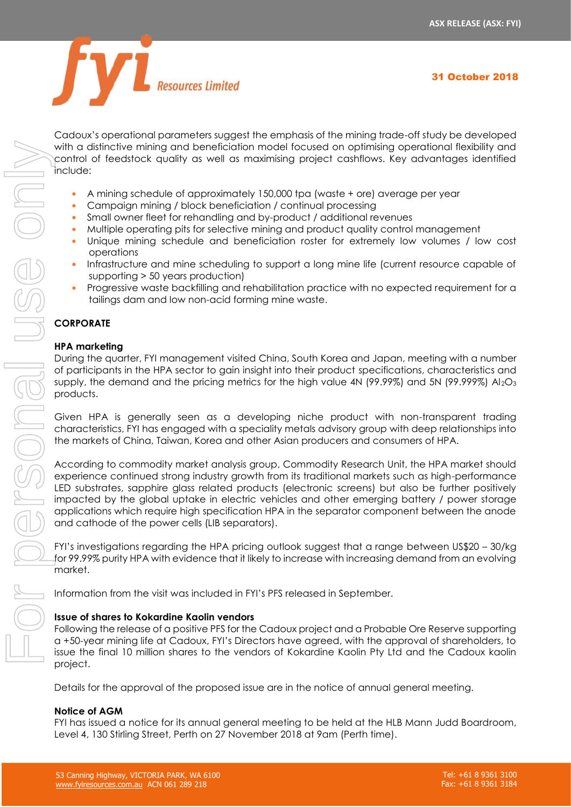

Cadoux's operational parameters suggest the emphasis of the mining trade-off study be developed with a distinctive mining and beneficiation model focused on optimising operational flexibility and control of feedstock quality as well as maximising project cashflows. Key advantages identified include:

- **•** A mining schedule of approximately 150,000 tpa (waste + ore) average per year
- **•** Campaign mining / block beneficiation / continual processing
- **•** Small owner fleet for rehandling and by-product / additional revenues
- Multiple operating pits for selective mining and product quality control management
- **•** Unique mining schedule and beneficiation roster for extremely low volumes / low cost operations
- **•** Infrastructure and mine scheduling to support a long mine life (current resource capable of supporting > 50 years production)
- **•** Progressive waste backfilling and rehabilitation practice with no expected requirement for a tailings dam and low non-acid forming mine waste.

# **CORPORATE**

# **HPA marketing**

During the quarter, FYI management visited China, South Korea and Japan, meeting with a number of participants in the HPA sector to gain insight into their product specifications, characteristics and supply, the demand and the pricing metrics for the high value 4N (99.99%) and 5N (99.999%)  $A I_2O_3$ products.

Given HPA is generally seen as a developing niche product with non-transparent trading characteristics, FYI has engaged with a speciality metals advisory group with deep relationships into the markets of China, Taiwan, Korea and other Asian producers and consumers of HPA.

According to commodity market analysis group, Commodity Research Unit, the HPA market should experience continued strong industry growth from its traditional markets such as high-performance LED substrates, sapphire glass related products (electronic screens) but also be further positively impacted by the global uptake in electric vehicles and other emerging battery / power storage applications which require high specification HPA in the separator component between the anode and cathode of the power cells (LIB separators).

FYI's investigations regarding the HPA pricing outlook suggest that a range between US\$20 – 30/kg for 99.99% purity HPA with evidence that it likely to increase with increasing demand from an evolving market.

Information from the visit was included in FYI's PFS released in September.

### **Issue of shares to Kokardine Kaolin vendors**

Following the release of a positive PFS for the Cadoux project and a Probable Ore Reserve supporting a +50-year mining life at Cadoux, FYI's Directors have agreed, with the approval of shareholders, to issue the final 10 million shares to the vendors of Kokardine Kaolin Pty Ltd and the Cadoux kaolin project.

Details for the approval of the proposed issue are in the notice of annual general meeting.

### **Notice of AGM**

FYI has issued a notice for its annual general meeting to be held at the HLB Mann Judd Boardroom,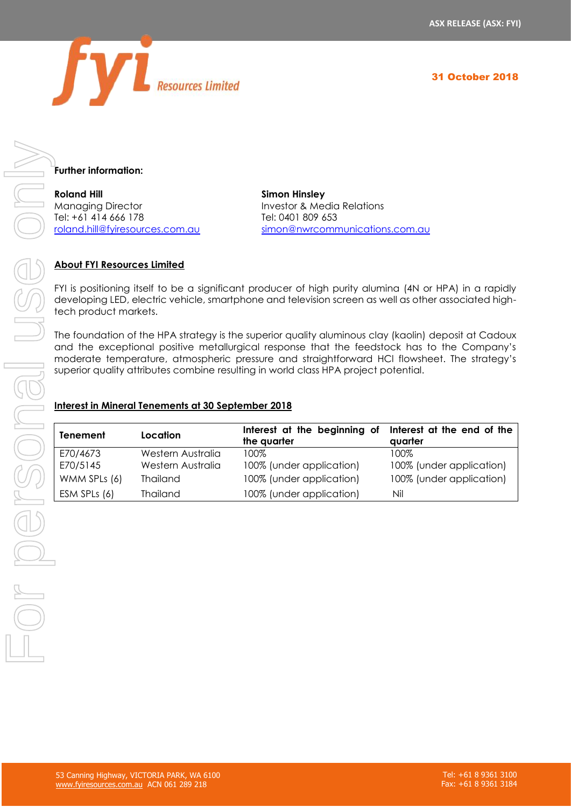



**Further information:**

**Roland Hill Simon Hinsley** Managing Director **Investor & Media Relations** Tel: +61 414 666 178 Tel: 0401 809 653

[roland.hill@fyiresources.com.au](mailto:roland.hill@fyiresources.com.au) [simon@nwrcommunications.com.au](mailto:simon@nwrcommunications.com.au)

# **About FYI Resources Limited**

FYI is positioning itself to be a significant producer of high purity alumina (4N or HPA) in a rapidly developing LED, electric vehicle, smartphone and television screen as well as other associated hightech product markets.

The foundation of the HPA strategy is the superior quality aluminous clay (kaolin) deposit at Cadoux and the exceptional positive metallurgical response that the feedstock has to the Company's moderate temperature, atmospheric pressure and straightforward HCl flowsheet. The strategy's superior quality attributes combine resulting in world class HPA project potential.

# **Interest in Mineral Tenements at 30 September 2018**

| Tenement     | Location          | Interest at the beginning of Interest at the end of the<br>the quarter | quarter                  |
|--------------|-------------------|------------------------------------------------------------------------|--------------------------|
| E70/4673     | Western Australia | 100%                                                                   | 100%                     |
| E70/5145     | Western Australia | 100% (under application)                                               | 100% (under application) |
| WMM SPLs (6) | Thailand          | 100% (under application)                                               | 100% (under application) |
| ESM SPLs (6) | Thailand          | 100% (under application)                                               | Nil                      |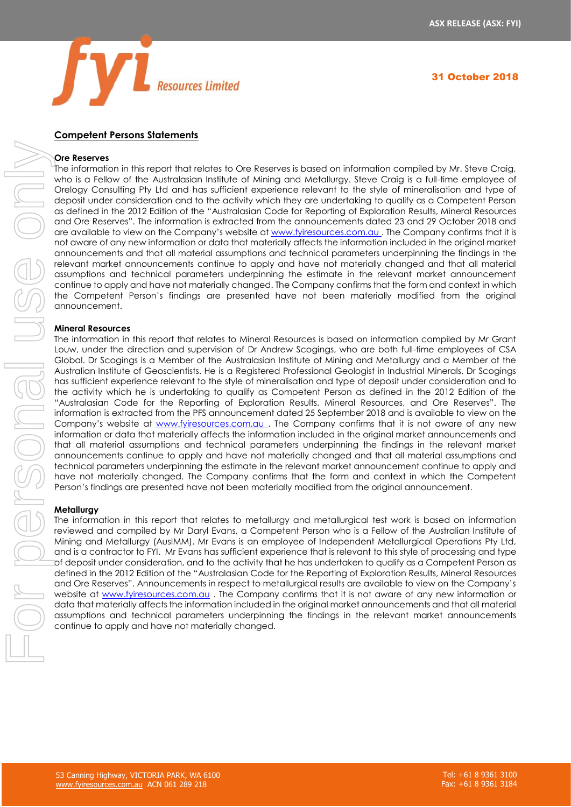

#### **Competent Persons Statements**

#### **Ore Reserves**

The information in this report that relates to Ore Reserves is based on information compiled by Mr. Steve Craig, who is a Fellow of the Australasian Institute of Mining and Metallurgy. Steve Craig is a full-time employee of Orelogy Consulting Pty Ltd and has sufficient experience relevant to the style of mineralisation and type of deposit under consideration and to the activity which they are undertaking to qualify as a Competent Person as defined in the 2012 Edition of the "Australasian Code for Reporting of Exploration Results, Mineral Resources and Ore Reserves". The information is extracted from the announcements dated 23 and 29 October 2018 and are available to view on the Company's website at [www.fyiresources.com.au](http://www.fyiresources.com.au/) . The Company confirms that it is not aware of any new information or data that materially affects the information included in the original market announcements and that all material assumptions and technical parameters underpinning the findings in the relevant market announcements continue to apply and have not materially changed and that all material assumptions and technical parameters underpinning the estimate in the relevant market announcement continue to apply and have not materially changed. The Company confirms that the form and context in which the Competent Person's findings are presented have not been materially modified from the original announcement.

#### **Mineral Resources**

The information in this report that relates to Mineral Resources is based on information compiled by Mr Grant Louw, under the direction and supervision of Dr Andrew Scogings, who are both full-time employees of CSA Global. Dr Scogings is a Member of the Australasian Institute of Mining and Metallurgy and a Member of the Australian Institute of Geoscientists. He is a Registered Professional Geologist in Industrial Minerals. Dr Scogings has sufficient experience relevant to the style of mineralisation and type of deposit under consideration and to the activity which he is undertaking to qualify as Competent Person as defined in the 2012 Edition of the "Australasian Code for the Reporting of Exploration Results, Mineral Resources, and Ore Reserves". The information is extracted from the PFS announcement dated 25 September 2018 and is available to view on the Company's website at [www.fyiresources.com.au](http://www.fyiresources.com.au/). The Company confirms that it is not aware of any new information or data that materially affects the information included in the original market announcements and that all material assumptions and technical parameters underpinning the findings in the relevant market announcements continue to apply and have not materially changed and that all material assumptions and technical parameters underpinning the estimate in the relevant market announcement continue to apply and have not materially changed. The Company confirms that the form and context in which the Competent Person's findings are presented have not been materially modified from the original announcement. Continue that the model of the model of the model of the model of the system of the model of the continue of the model of the continue of the model of the continue of the continue of the continue of the model of the contin

#### **Metallurgy**

The information in this report that relates to metallurgy and metallurgical test work is based on information reviewed and compiled by Mr Daryl Evans, a Competent Person who is a Fellow of the Australian Institute of Mining and Metallurgy (AusIMM). Mr Evans is an employee of Independent Metallurgical Operations Pty Ltd, and is a contractor to FYI. Mr Evans has sufficient experience that is relevant to this style of processing and type of deposit under consideration, and to the activity that he has undertaken to qualify as a Competent Person as defined in the 2012 Edition of the "Australasian Code for the Reporting of Exploration Results, Mineral Resources and Ore Reserves". Announcements in respect to metallurgical results are available to view on the Company's website at [www.fyiresources.com.au](http://www.fyiresources.com.au/) . The Company confirms that it is not aware of any new information or data that materially affects the information included in the original market announcements and that all material assumptions and technical parameters underpinning the findings in the relevant market announcements